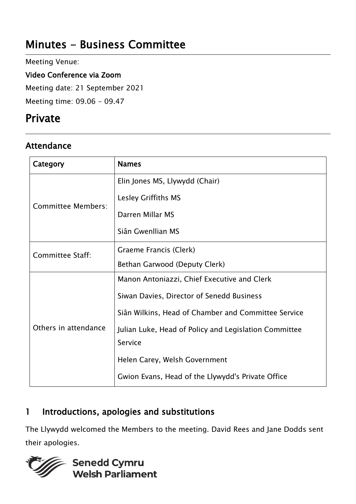# Minutes - Business Committee

Meeting Venue:

Video Conference via Zoom

Meeting date: 21 September 2021

Meeting time: 09.06 - 09.47

# Private

# Attendance

| Category                  | <b>Names</b>                                          |
|---------------------------|-------------------------------------------------------|
| <b>Committee Members:</b> | Elin Jones MS, Llywydd (Chair)                        |
|                           | Lesley Griffiths MS                                   |
|                           | Darren Millar MS                                      |
|                           | Siân Gwenllian MS                                     |
| <b>Committee Staff:</b>   | Graeme Francis (Clerk)                                |
|                           | Bethan Garwood (Deputy Clerk)                         |
| Others in attendance      | Manon Antoniazzi, Chief Executive and Clerk           |
|                           | Siwan Davies, Director of Senedd Business             |
|                           | Siân Wilkins, Head of Chamber and Committee Service   |
|                           | Julian Luke, Head of Policy and Legislation Committee |
|                           | Service                                               |
|                           | Helen Carey, Welsh Government                         |
|                           | Gwion Evans, Head of the Llywydd's Private Office     |

# 1 Introductions, apologies and substitutions

The Llywydd welcomed the Members to the meeting. David Rees and Jane Dodds sent their apologies.

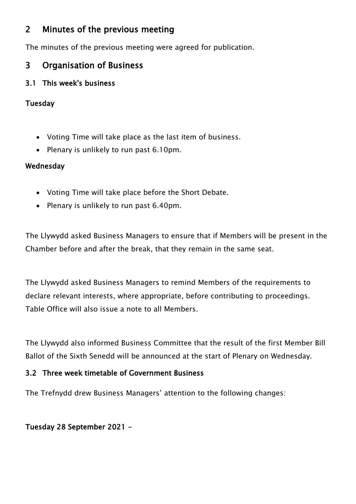# 2 Minutes of the previous meeting

The minutes of the previous meeting were agreed for publication.

# 3 Organisation of Business

# 3.1 This week's business

## Tuesday

- Voting Time will take place as the last item of business.
- Plenary is unlikely to run past 6.10pm.

## Wednesday

- Voting Time will take place before the Short Debate.
- Plenary is unlikely to run past 6.40pm.

The Llywydd asked Business Managers to ensure that if Members will be present in the Chamber before and after the break, that they remain in the same seat.

The Llywydd asked Business Managers to remind Members of the requirements to declare relevant interests, where appropriate, before contributing to proceedings. Table Office will also issue a note to all Members.

The Llywydd also informed Business Committee that the result of the first Member Bill Ballot of the Sixth Senedd will be announced at the start of Plenary on Wednesday.

#### 3.2 Three week timetable of Government Business

The Trefnydd drew Business Managers' attention to the following changes:

## Tuesday 28 September 2021 -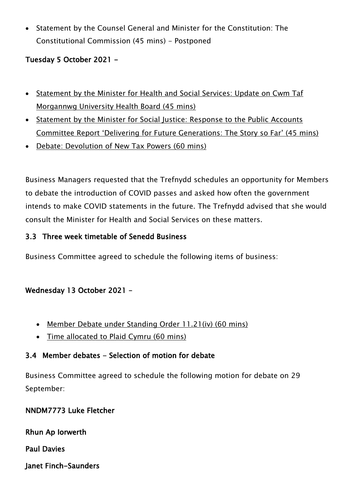Statement by the Counsel General and Minister for the Constitution: The Constitutional Commission (45 mins) - Postponed

## Tuesday 5 October 2021 -

- Statement by the Minister for Health and Social Services: Update on Cwm Taf Morgannwg University Health Board (45 mins)
- Statement by the Minister for Social Justice: Response to the Public Accounts Committee Report 'Delivering for Future Generations: The Story so Far' (45 mins)
- Debate: Devolution of New Tax Powers (60 mins)

Business Managers requested that the Trefnydd schedules an opportunity for Members to debate the introduction of COVID passes and asked how often the government intends to make COVID statements in the future. The Trefnydd advised that she would consult the Minister for Health and Social Services on these matters.

## 3.3 Three week timetable of Senedd Business

Business Committee agreed to schedule the following items of business:

## Wednesday 13 October 2021 –

- Member Debate under Standing Order 11.21(iv) (60 mins)
- Time allocated to Plaid Cymru (60 mins)

## 3.4 Member debates - Selection of motion for debate

Business Committee agreed to schedule the following motion for debate on 29 September:

#### NNDM7773 Luke Fletcher

Rhun Ap Iorwerth

Paul Davies

Janet Finch-Saunders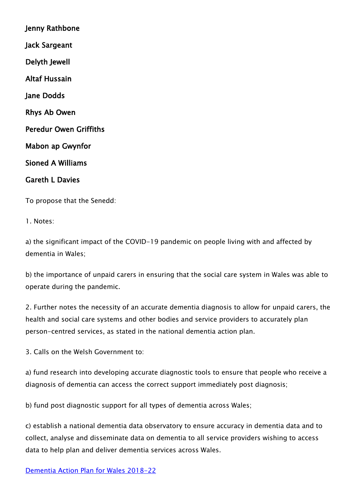Jenny Rathbone Jack Sargeant Delyth Jewell Altaf Hussain Jane Dodds Rhys Ab Owen Peredur Owen Griffiths Mabon ap Gwynfor Sioned A Williams Gareth L Davies

To propose that the Senedd:

1. Notes:

a) the significant impact of the COVID-19 pandemic on people living with and affected by dementia in Wales;

b) the importance of unpaid carers in ensuring that the social care system in Wales was able to operate during the pandemic.

2. Further notes the necessity of an accurate dementia diagnosis to allow for unpaid carers, the health and social care systems and other bodies and service providers to accurately plan person-centred services, as stated in the national dementia action plan.

3. Calls on the Welsh Government to:

a) fund research into developing accurate diagnostic tools to ensure that people who receive a diagnosis of dementia can access the correct support immediately post diagnosis;

b) fund post diagnostic support for all types of dementia across Wales;

c) establish a national dementia data observatory to ensure accuracy in dementia data and to collect, analyse and disseminate data on dementia to all service providers wishing to access data to help plan and deliver dementia services across Wales.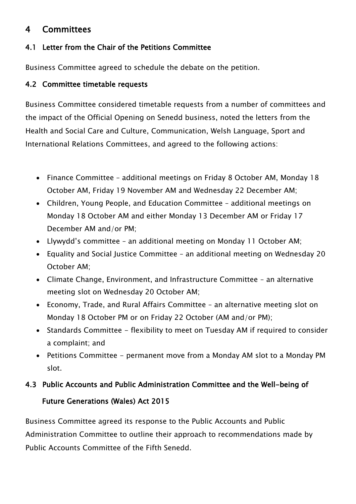# 4 Committees

## 4.1 Letter from the Chair of the Petitions Committee

Business Committee agreed to schedule the debate on the petition.

### 4.2 Committee timetable requests

Business Committee considered timetable requests from a number of committees and the impact of the Official Opening on Senedd business, noted the letters from the Health and Social Care and Culture, Communication, Welsh Language, Sport and International Relations Committees, and agreed to the following actions:

- Finance Committee additional meetings on Friday 8 October AM, Monday 18 October AM, Friday 19 November AM and Wednesday 22 December AM;
- Children, Young People, and Education Committee additional meetings on Monday 18 October AM and either Monday 13 December AM or Friday 17 December AM and/or PM;
- Llywydd's committee an additional meeting on Monday 11 October AM;
- Equality and Social Justice Committee an additional meeting on Wednesday 20 October AM;
- Climate Change, Environment, and Infrastructure Committee an alternative meeting slot on Wednesday 20 October AM;
- Economy, Trade, and Rural Affairs Committee an alternative meeting slot on Monday 18 October PM or on Friday 22 October (AM and/or PM);
- Standards Committee flexibility to meet on Tuesday AM if required to consider a complaint; and
- Petitions Committee permanent move from a Monday AM slot to a Monday PM slot.

#### 4.3 Public Accounts and Public Administration Committee and the Well-being of

#### Future Generations (Wales) Act 2015

Business Committee agreed its response to the Public Accounts and Public Administration Committee to outline their approach to recommendations made by Public Accounts Committee of the Fifth Senedd.